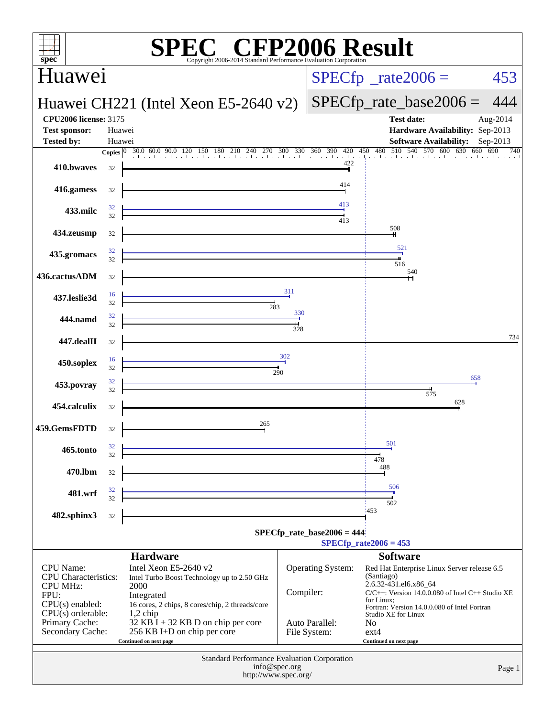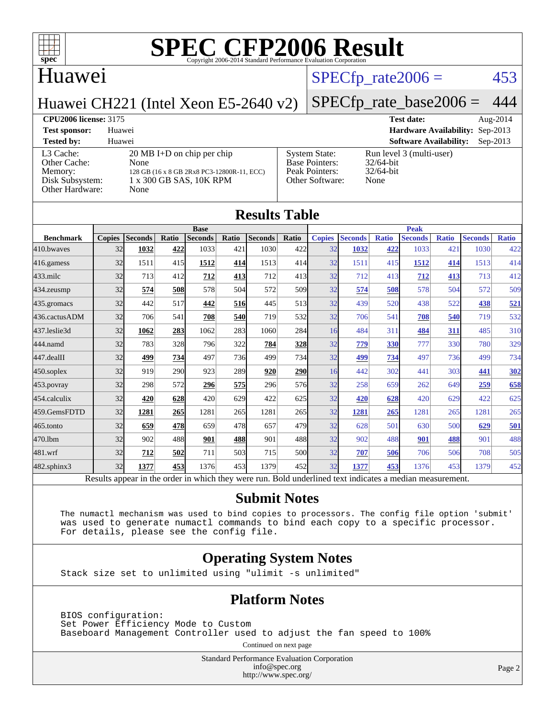

### Huawei

#### $SPECTp_rate2006 = 453$

Huawei CH221 (Intel Xeon E5-2640 v2)

#### [SPECfp\\_rate\\_base2006 =](http://www.spec.org/auto/cpu2006/Docs/result-fields.html#SPECfpratebase2006) 444

**[CPU2006 license:](http://www.spec.org/auto/cpu2006/Docs/result-fields.html#CPU2006license)** 3175 **[Test date:](http://www.spec.org/auto/cpu2006/Docs/result-fields.html#Testdate)** Aug-2014 **[Test sponsor:](http://www.spec.org/auto/cpu2006/Docs/result-fields.html#Testsponsor)** Huawei **[Hardware Availability:](http://www.spec.org/auto/cpu2006/Docs/result-fields.html#HardwareAvailability)** Sep-2013 **[Tested by:](http://www.spec.org/auto/cpu2006/Docs/result-fields.html#Testedby)** Huawei **[Software Availability:](http://www.spec.org/auto/cpu2006/Docs/result-fields.html#SoftwareAvailability)** Sep-2013 [L3 Cache:](http://www.spec.org/auto/cpu2006/Docs/result-fields.html#L3Cache) 20 MB I+D on chip per chip<br>Other Cache: None [Other Cache:](http://www.spec.org/auto/cpu2006/Docs/result-fields.html#OtherCache) [Memory:](http://www.spec.org/auto/cpu2006/Docs/result-fields.html#Memory) 128 GB (16 x 8 GB 2Rx8 PC3-12800R-11, ECC) [Disk Subsystem:](http://www.spec.org/auto/cpu2006/Docs/result-fields.html#DiskSubsystem) 1 x 300 GB SAS, 10K RPM [Other Hardware:](http://www.spec.org/auto/cpu2006/Docs/result-fields.html#OtherHardware) None [System State:](http://www.spec.org/auto/cpu2006/Docs/result-fields.html#SystemState) Run level 3 (multi-user)<br>Base Pointers: 32/64-bit [Base Pointers:](http://www.spec.org/auto/cpu2006/Docs/result-fields.html#BasePointers) [Peak Pointers:](http://www.spec.org/auto/cpu2006/Docs/result-fields.html#PeakPointers) 32/64-bit [Other Software:](http://www.spec.org/auto/cpu2006/Docs/result-fields.html#OtherSoftware) None

| <b>Results Table</b> |               |                |       |                |       |                                                                                                          |            |               |                |              |                |              |                |              |
|----------------------|---------------|----------------|-------|----------------|-------|----------------------------------------------------------------------------------------------------------|------------|---------------|----------------|--------------|----------------|--------------|----------------|--------------|
|                      | <b>Base</b>   |                |       |                |       |                                                                                                          |            | <b>Peak</b>   |                |              |                |              |                |              |
| <b>Benchmark</b>     | <b>Copies</b> | <b>Seconds</b> | Ratio | <b>Seconds</b> | Ratio | <b>Seconds</b>                                                                                           | Ratio      | <b>Copies</b> | <b>Seconds</b> | <b>Ratio</b> | <b>Seconds</b> | <b>Ratio</b> | <b>Seconds</b> | <b>Ratio</b> |
| 410.bwayes           | 32            | 1032           | 422   | 1033           | 421   | 1030                                                                                                     | 422        | 32            | 1032           | 422          | 1033           | 421          | 1030           | 422          |
| 416.gamess           | 32            | 1511           | 415   | 1512           | 414   | 1513                                                                                                     | 414        | 32            | 1511           | 415          | 1512           | 414          | 1513           | 414          |
| 433.milc             | 32            | 713            | 412   | 712            | 413   | 712                                                                                                      | 413        | 32            | 712            | 413          | 712            | 413          | 713            | 412          |
| 434.zeusmp           | 32            | 574            | 508   | 578            | 504   | 572                                                                                                      | 509        | 32            | 574            | 508          | 578            | 504          | 572            | 509          |
| $435$ .gromacs       | 32            | 442            | 517   | 442            | 516   | 445                                                                                                      | 513        | 32            | 439            | 520          | 438            | 522          | 438            | 521          |
| 436.cactusADM        | 32            | 706            | 541   | 708            | 540   | 719                                                                                                      | 532        | 32            | 706            | 541          | 708            | 540          | 719            | 532          |
| 437.leslie3d         | 32            | 1062           | 283   | 1062           | 283   | 1060                                                                                                     | 284        | 16            | 484            | 311          | 484            | 311          | 485            | 310          |
| 444.namd             | 32            | 783            | 328   | 796            | 322   | 784                                                                                                      | <u>328</u> | 32            | 779            | 330          | 777            | 330          | 780            | 329          |
| 447.dealII           | 32            | 499            | 734   | 497            | 736I  | 499                                                                                                      | 734        | 32            | 499            | 734          | 497            | 736          | 499            | 734          |
| $450$ .soplex        | 32            | 919            | 290   | 923            | 289   | 920                                                                                                      | <b>290</b> | 16            | 442            | 302          | 441            | 303          | 441            | 302          |
| 453.povray           | 32            | 298            | 572   | 296            | 575   | 296                                                                                                      | 576        | 32            | 258            | 659          | 262            | 649          | 259            | 658          |
| 454.calculix         | 32            | 420            | 628   | 420            | 629   | 422                                                                                                      | 625        | 32            | 420            | 628          | 420            | 629          | 422            | 625          |
| 459.GemsFDTD         | 32            | 1281           | 265   | 1281           | 265   | 1281                                                                                                     | 265        | 32            | 1281           | 265          | 1281           | 265          | 1281           | 265          |
| 465.tonto            | 32            | 659            | 478   | 659            | 478   | 657                                                                                                      | 479        | 32            | 628            | 501          | 630            | 500          | 629            | 501          |
| 470.1bm              | 32            | 902            | 488   | 901            | 488   | 901                                                                                                      | 488        | 32            | 902            | 488          | 901            | 488          | 901            | 488          |
| 481.wrf              | 32            | 712            | 502   | 711            | 503   | 715                                                                                                      | 500        | 32            | 707            | 506          | 706            | 506          | 708            | 505          |
| 482.sphinx3          | 32            | 1377           | 453   | 1376           | 453   | 1379                                                                                                     | 452        | 32            | 1377           | 453          | 1376           | 453          | 1379           | 452          |
|                      |               |                |       |                |       | Results appear in the order in which they were run. Bold underlined text indicates a median measurement. |            |               |                |              |                |              |                |              |

#### **[Submit Notes](http://www.spec.org/auto/cpu2006/Docs/result-fields.html#SubmitNotes)**

 The numactl mechanism was used to bind copies to processors. The config file option 'submit' was used to generate numactl commands to bind each copy to a specific processor. For details, please see the config file.

#### **[Operating System Notes](http://www.spec.org/auto/cpu2006/Docs/result-fields.html#OperatingSystemNotes)**

Stack size set to unlimited using "ulimit -s unlimited"

#### **[Platform Notes](http://www.spec.org/auto/cpu2006/Docs/result-fields.html#PlatformNotes)**

 BIOS configuration: Set Power Efficiency Mode to Custom Baseboard Management Controller used to adjust the fan speed to 100%

Continued on next page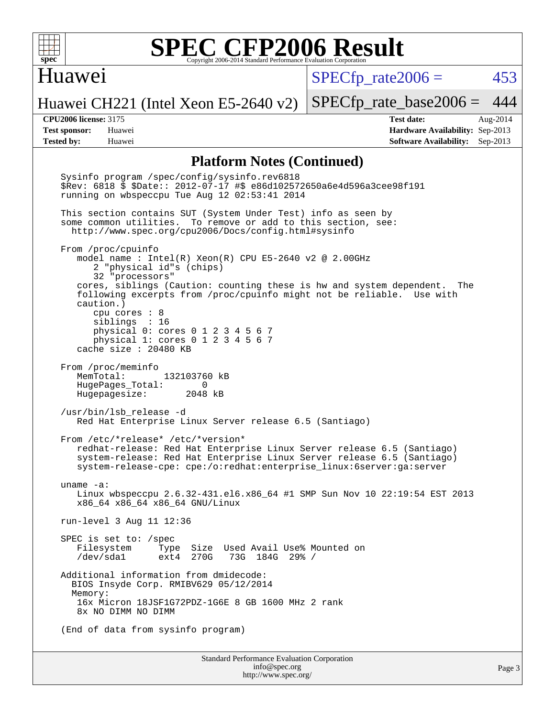

#### Huawei

 $SPECTp\_rate2006 = 453$ 

Page 3

Huawei CH221 (Intel Xeon E5-2640 v2)

[SPECfp\\_rate\\_base2006 =](http://www.spec.org/auto/cpu2006/Docs/result-fields.html#SPECfpratebase2006) 444

**[CPU2006 license:](http://www.spec.org/auto/cpu2006/Docs/result-fields.html#CPU2006license)** 3175 **[Test date:](http://www.spec.org/auto/cpu2006/Docs/result-fields.html#Testdate)** Aug-2014 **[Test sponsor:](http://www.spec.org/auto/cpu2006/Docs/result-fields.html#Testsponsor)** Huawei **[Hardware Availability:](http://www.spec.org/auto/cpu2006/Docs/result-fields.html#HardwareAvailability)** Sep-2013 **[Tested by:](http://www.spec.org/auto/cpu2006/Docs/result-fields.html#Testedby)** Huawei **[Software Availability:](http://www.spec.org/auto/cpu2006/Docs/result-fields.html#SoftwareAvailability)** Sep-2013

#### **[Platform Notes \(Continued\)](http://www.spec.org/auto/cpu2006/Docs/result-fields.html#PlatformNotes)**

Standard Performance Evaluation Corporation [info@spec.org](mailto:info@spec.org) Sysinfo program /spec/config/sysinfo.rev6818 \$Rev: 6818 \$ \$Date:: 2012-07-17 #\$ e86d102572650a6e4d596a3cee98f191 running on wbspeccpu Tue Aug 12 02:53:41 2014 This section contains SUT (System Under Test) info as seen by some common utilities. To remove or add to this section, see: <http://www.spec.org/cpu2006/Docs/config.html#sysinfo> From /proc/cpuinfo model name : Intel(R) Xeon(R) CPU E5-2640 v2 @ 2.00GHz 2 "physical id"s (chips) 32 "processors" cores, siblings (Caution: counting these is hw and system dependent. The following excerpts from /proc/cpuinfo might not be reliable. Use with caution.) cpu cores : 8 siblings : 16 physical 0: cores 0 1 2 3 4 5 6 7 physical 1: cores 0 1 2 3 4 5 6 7 cache size : 20480 KB From /proc/meminfo MemTotal: 132103760 kB HugePages\_Total: 0<br>Hugepagesize: 2048 kB Hugepagesize: /usr/bin/lsb\_release -d Red Hat Enterprise Linux Server release 6.5 (Santiago) From /etc/\*release\* /etc/\*version\* redhat-release: Red Hat Enterprise Linux Server release 6.5 (Santiago) system-release: Red Hat Enterprise Linux Server release 6.5 (Santiago) system-release-cpe: cpe:/o:redhat:enterprise\_linux:6server:ga:server uname -a: Linux wbspeccpu 2.6.32-431.el6.x86\_64 #1 SMP Sun Nov 10 22:19:54 EST 2013 x86\_64 x86\_64 x86\_64 GNU/Linux run-level 3 Aug 11 12:36 SPEC is set to: /spec Filesystem Type Size Used Avail Use% Mounted on 73G 184G 29% / Additional information from dmidecode: BIOS Insyde Corp. RMIBV629 05/12/2014 Memory: 16x Micron 18JSF1G72PDZ-1G6E 8 GB 1600 MHz 2 rank 8x NO DIMM NO DIMM (End of data from sysinfo program)

<http://www.spec.org/>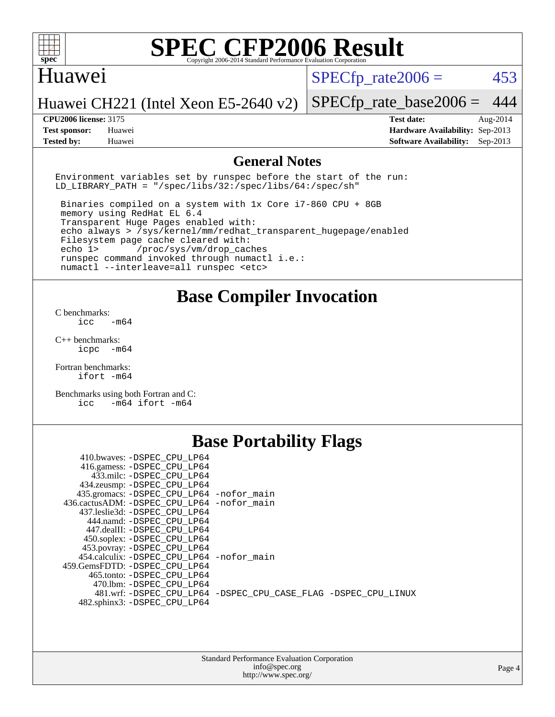

#### Huawei

 $SPECTp\_rate2006 = 453$ 

#### Huawei CH221 (Intel Xeon E5-2640 v2)

[SPECfp\\_rate\\_base2006 =](http://www.spec.org/auto/cpu2006/Docs/result-fields.html#SPECfpratebase2006) 444 **[CPU2006 license:](http://www.spec.org/auto/cpu2006/Docs/result-fields.html#CPU2006license)** 3175 **[Test date:](http://www.spec.org/auto/cpu2006/Docs/result-fields.html#Testdate)** Aug-2014

**[Test sponsor:](http://www.spec.org/auto/cpu2006/Docs/result-fields.html#Testsponsor)** Huawei **[Hardware Availability:](http://www.spec.org/auto/cpu2006/Docs/result-fields.html#HardwareAvailability)** Sep-2013 **[Tested by:](http://www.spec.org/auto/cpu2006/Docs/result-fields.html#Testedby)** Huawei **[Software Availability:](http://www.spec.org/auto/cpu2006/Docs/result-fields.html#SoftwareAvailability)** Sep-2013

#### **[General Notes](http://www.spec.org/auto/cpu2006/Docs/result-fields.html#GeneralNotes)**

Environment variables set by runspec before the start of the run: LD LIBRARY PATH = "/spec/libs/32:/spec/libs/64:/spec/sh"

 Binaries compiled on a system with 1x Core i7-860 CPU + 8GB memory using RedHat EL 6.4 Transparent Huge Pages enabled with: echo always > /sys/kernel/mm/redhat\_transparent\_hugepage/enabled Filesystem page cache cleared with: echo 1> /proc/sys/vm/drop\_caches runspec command invoked through numactl i.e.: numactl --interleave=all runspec <etc>

#### **[Base Compiler Invocation](http://www.spec.org/auto/cpu2006/Docs/result-fields.html#BaseCompilerInvocation)**

[C benchmarks](http://www.spec.org/auto/cpu2006/Docs/result-fields.html#Cbenchmarks):  $\text{icc}$   $-\text{m64}$ 

[C++ benchmarks:](http://www.spec.org/auto/cpu2006/Docs/result-fields.html#CXXbenchmarks) [icpc -m64](http://www.spec.org/cpu2006/results/res2014q3/cpu2006-20140813-30914.flags.html#user_CXXbase_intel_icpc_64bit_bedb90c1146cab66620883ef4f41a67e)

[Fortran benchmarks](http://www.spec.org/auto/cpu2006/Docs/result-fields.html#Fortranbenchmarks): [ifort -m64](http://www.spec.org/cpu2006/results/res2014q3/cpu2006-20140813-30914.flags.html#user_FCbase_intel_ifort_64bit_ee9d0fb25645d0210d97eb0527dcc06e)

[Benchmarks using both Fortran and C](http://www.spec.org/auto/cpu2006/Docs/result-fields.html#BenchmarksusingbothFortranandC): [icc -m64](http://www.spec.org/cpu2006/results/res2014q3/cpu2006-20140813-30914.flags.html#user_CC_FCbase_intel_icc_64bit_0b7121f5ab7cfabee23d88897260401c) [ifort -m64](http://www.spec.org/cpu2006/results/res2014q3/cpu2006-20140813-30914.flags.html#user_CC_FCbase_intel_ifort_64bit_ee9d0fb25645d0210d97eb0527dcc06e)

## **[Base Portability Flags](http://www.spec.org/auto/cpu2006/Docs/result-fields.html#BasePortabilityFlags)**

| 410.bwaves: -DSPEC CPU LP64                |                                                                |
|--------------------------------------------|----------------------------------------------------------------|
| 416.gamess: -DSPEC_CPU_LP64                |                                                                |
| 433.milc: -DSPEC CPU LP64                  |                                                                |
| 434.zeusmp: - DSPEC_CPU_LP64               |                                                                |
| 435.gromacs: -DSPEC_CPU_LP64 -nofor_main   |                                                                |
| 436.cactusADM: -DSPEC CPU LP64 -nofor main |                                                                |
| 437.leslie3d: -DSPEC CPU LP64              |                                                                |
| 444.namd: -DSPEC CPU LP64                  |                                                                |
| 447.dealII: -DSPEC_CPU LP64                |                                                                |
| 450.soplex: -DSPEC_CPU_LP64                |                                                                |
| 453.povray: -DSPEC_CPU_LP64                |                                                                |
| 454.calculix: -DSPEC CPU LP64 -nofor main  |                                                                |
| 459.GemsFDTD: -DSPEC CPU LP64              |                                                                |
| 465.tonto: -DSPEC CPU LP64                 |                                                                |
| 470.1bm: - DSPEC CPU LP64                  |                                                                |
|                                            | 481.wrf: -DSPEC CPU_LP64 -DSPEC_CPU_CASE_FLAG -DSPEC_CPU_LINUX |
| 482.sphinx3: -DSPEC CPU LP64               |                                                                |
|                                            |                                                                |

| <b>Standard Performance Evaluation Corporation</b> |
|----------------------------------------------------|
| info@spec.org                                      |
| http://www.spec.org/                               |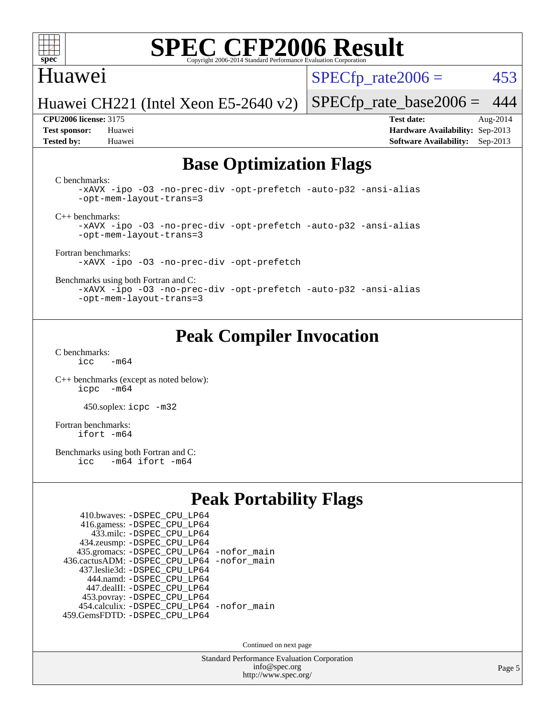

### Huawei

 $SPECTp\_rate2006 = 453$ 

Huawei CH221 (Intel Xeon E5-2640 v2)

**[Tested by:](http://www.spec.org/auto/cpu2006/Docs/result-fields.html#Testedby)** Huawei **[Software Availability:](http://www.spec.org/auto/cpu2006/Docs/result-fields.html#SoftwareAvailability)** Sep-2013

[SPECfp\\_rate\\_base2006 =](http://www.spec.org/auto/cpu2006/Docs/result-fields.html#SPECfpratebase2006) 444 **[CPU2006 license:](http://www.spec.org/auto/cpu2006/Docs/result-fields.html#CPU2006license)** 3175 **[Test date:](http://www.spec.org/auto/cpu2006/Docs/result-fields.html#Testdate)** Aug-2014 **[Test sponsor:](http://www.spec.org/auto/cpu2006/Docs/result-fields.html#Testsponsor)** Huawei **[Hardware Availability:](http://www.spec.org/auto/cpu2006/Docs/result-fields.html#HardwareAvailability)** Sep-2013

## **[Base Optimization Flags](http://www.spec.org/auto/cpu2006/Docs/result-fields.html#BaseOptimizationFlags)**

[C benchmarks](http://www.spec.org/auto/cpu2006/Docs/result-fields.html#Cbenchmarks):

[-xAVX](http://www.spec.org/cpu2006/results/res2014q3/cpu2006-20140813-30914.flags.html#user_CCbase_f-xAVX) [-ipo](http://www.spec.org/cpu2006/results/res2014q3/cpu2006-20140813-30914.flags.html#user_CCbase_f-ipo) [-O3](http://www.spec.org/cpu2006/results/res2014q3/cpu2006-20140813-30914.flags.html#user_CCbase_f-O3) [-no-prec-div](http://www.spec.org/cpu2006/results/res2014q3/cpu2006-20140813-30914.flags.html#user_CCbase_f-no-prec-div) [-opt-prefetch](http://www.spec.org/cpu2006/results/res2014q3/cpu2006-20140813-30914.flags.html#user_CCbase_f-opt-prefetch) [-auto-p32](http://www.spec.org/cpu2006/results/res2014q3/cpu2006-20140813-30914.flags.html#user_CCbase_f-auto-p32) [-ansi-alias](http://www.spec.org/cpu2006/results/res2014q3/cpu2006-20140813-30914.flags.html#user_CCbase_f-ansi-alias) [-opt-mem-layout-trans=3](http://www.spec.org/cpu2006/results/res2014q3/cpu2006-20140813-30914.flags.html#user_CCbase_f-opt-mem-layout-trans_a7b82ad4bd7abf52556d4961a2ae94d5)

[C++ benchmarks:](http://www.spec.org/auto/cpu2006/Docs/result-fields.html#CXXbenchmarks)

[-xAVX](http://www.spec.org/cpu2006/results/res2014q3/cpu2006-20140813-30914.flags.html#user_CXXbase_f-xAVX) [-ipo](http://www.spec.org/cpu2006/results/res2014q3/cpu2006-20140813-30914.flags.html#user_CXXbase_f-ipo) [-O3](http://www.spec.org/cpu2006/results/res2014q3/cpu2006-20140813-30914.flags.html#user_CXXbase_f-O3) [-no-prec-div](http://www.spec.org/cpu2006/results/res2014q3/cpu2006-20140813-30914.flags.html#user_CXXbase_f-no-prec-div) [-opt-prefetch](http://www.spec.org/cpu2006/results/res2014q3/cpu2006-20140813-30914.flags.html#user_CXXbase_f-opt-prefetch) [-auto-p32](http://www.spec.org/cpu2006/results/res2014q3/cpu2006-20140813-30914.flags.html#user_CXXbase_f-auto-p32) [-ansi-alias](http://www.spec.org/cpu2006/results/res2014q3/cpu2006-20140813-30914.flags.html#user_CXXbase_f-ansi-alias) [-opt-mem-layout-trans=3](http://www.spec.org/cpu2006/results/res2014q3/cpu2006-20140813-30914.flags.html#user_CXXbase_f-opt-mem-layout-trans_a7b82ad4bd7abf52556d4961a2ae94d5)

[Fortran benchmarks](http://www.spec.org/auto/cpu2006/Docs/result-fields.html#Fortranbenchmarks): [-xAVX](http://www.spec.org/cpu2006/results/res2014q3/cpu2006-20140813-30914.flags.html#user_FCbase_f-xAVX) [-ipo](http://www.spec.org/cpu2006/results/res2014q3/cpu2006-20140813-30914.flags.html#user_FCbase_f-ipo) [-O3](http://www.spec.org/cpu2006/results/res2014q3/cpu2006-20140813-30914.flags.html#user_FCbase_f-O3) [-no-prec-div](http://www.spec.org/cpu2006/results/res2014q3/cpu2006-20140813-30914.flags.html#user_FCbase_f-no-prec-div) [-opt-prefetch](http://www.spec.org/cpu2006/results/res2014q3/cpu2006-20140813-30914.flags.html#user_FCbase_f-opt-prefetch)

[Benchmarks using both Fortran and C](http://www.spec.org/auto/cpu2006/Docs/result-fields.html#BenchmarksusingbothFortranandC):

[-xAVX](http://www.spec.org/cpu2006/results/res2014q3/cpu2006-20140813-30914.flags.html#user_CC_FCbase_f-xAVX) [-ipo](http://www.spec.org/cpu2006/results/res2014q3/cpu2006-20140813-30914.flags.html#user_CC_FCbase_f-ipo) [-O3](http://www.spec.org/cpu2006/results/res2014q3/cpu2006-20140813-30914.flags.html#user_CC_FCbase_f-O3) [-no-prec-div](http://www.spec.org/cpu2006/results/res2014q3/cpu2006-20140813-30914.flags.html#user_CC_FCbase_f-no-prec-div) [-opt-prefetch](http://www.spec.org/cpu2006/results/res2014q3/cpu2006-20140813-30914.flags.html#user_CC_FCbase_f-opt-prefetch) [-auto-p32](http://www.spec.org/cpu2006/results/res2014q3/cpu2006-20140813-30914.flags.html#user_CC_FCbase_f-auto-p32) [-ansi-alias](http://www.spec.org/cpu2006/results/res2014q3/cpu2006-20140813-30914.flags.html#user_CC_FCbase_f-ansi-alias) [-opt-mem-layout-trans=3](http://www.spec.org/cpu2006/results/res2014q3/cpu2006-20140813-30914.flags.html#user_CC_FCbase_f-opt-mem-layout-trans_a7b82ad4bd7abf52556d4961a2ae94d5)

## **[Peak Compiler Invocation](http://www.spec.org/auto/cpu2006/Docs/result-fields.html#PeakCompilerInvocation)**

[C benchmarks](http://www.spec.org/auto/cpu2006/Docs/result-fields.html#Cbenchmarks):  $icc$   $-m64$ 

[C++ benchmarks \(except as noted below\):](http://www.spec.org/auto/cpu2006/Docs/result-fields.html#CXXbenchmarksexceptasnotedbelow) [icpc -m64](http://www.spec.org/cpu2006/results/res2014q3/cpu2006-20140813-30914.flags.html#user_CXXpeak_intel_icpc_64bit_bedb90c1146cab66620883ef4f41a67e)

450.soplex: [icpc -m32](http://www.spec.org/cpu2006/results/res2014q3/cpu2006-20140813-30914.flags.html#user_peakCXXLD450_soplex_intel_icpc_4e5a5ef1a53fd332b3c49e69c3330699)

[Fortran benchmarks](http://www.spec.org/auto/cpu2006/Docs/result-fields.html#Fortranbenchmarks): [ifort -m64](http://www.spec.org/cpu2006/results/res2014q3/cpu2006-20140813-30914.flags.html#user_FCpeak_intel_ifort_64bit_ee9d0fb25645d0210d97eb0527dcc06e)

[Benchmarks using both Fortran and C](http://www.spec.org/auto/cpu2006/Docs/result-fields.html#BenchmarksusingbothFortranandC):<br>icc -m64 ifort -m64  $-m64$  ifort  $-m64$ 

## **[Peak Portability Flags](http://www.spec.org/auto/cpu2006/Docs/result-fields.html#PeakPortabilityFlags)**

| 410.bwaves: - DSPEC CPU LP64                |  |
|---------------------------------------------|--|
| 416.gamess: -DSPEC_CPU_LP64                 |  |
| 433.milc: - DSPEC_CPU LP64                  |  |
| 434.zeusmp: -DSPEC_CPU_LP64                 |  |
| 435.gromacs: -DSPEC_CPU_LP64 -nofor_main    |  |
| 436.cactusADM: -DSPEC CPU LP64 -nofor main  |  |
| 437.leslie3d: -DSPEC CPU LP64               |  |
| 444.namd: - DSPEC CPU LP64                  |  |
| 447.dealII: -DSPEC CPU LP64                 |  |
| 453.povray: -DSPEC_CPU_LP64                 |  |
| 454.calculix: - DSPEC CPU LP64 - nofor main |  |
| 459.GemsFDTD: - DSPEC_CPU_LP64              |  |

Continued on next page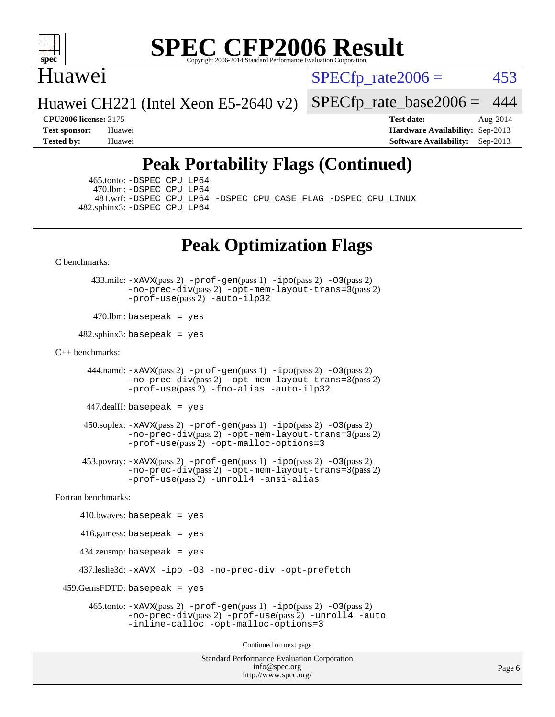

### Huawei

 $SPECTp\_rate2006 = 453$ 

Huawei CH221 (Intel Xeon E5-2640 v2)

[SPECfp\\_rate\\_base2006 =](http://www.spec.org/auto/cpu2006/Docs/result-fields.html#SPECfpratebase2006) 444

**[CPU2006 license:](http://www.spec.org/auto/cpu2006/Docs/result-fields.html#CPU2006license)** 3175 **[Test date:](http://www.spec.org/auto/cpu2006/Docs/result-fields.html#Testdate)** Aug-2014 **[Test sponsor:](http://www.spec.org/auto/cpu2006/Docs/result-fields.html#Testsponsor)** Huawei **[Hardware Availability:](http://www.spec.org/auto/cpu2006/Docs/result-fields.html#HardwareAvailability)** Sep-2013 **[Tested by:](http://www.spec.org/auto/cpu2006/Docs/result-fields.html#Testedby)** Huawei **[Software Availability:](http://www.spec.org/auto/cpu2006/Docs/result-fields.html#SoftwareAvailability)** Sep-2013

# **[Peak Portability Flags \(Continued\)](http://www.spec.org/auto/cpu2006/Docs/result-fields.html#PeakPortabilityFlags)**

 465.tonto: [-DSPEC\\_CPU\\_LP64](http://www.spec.org/cpu2006/results/res2014q3/cpu2006-20140813-30914.flags.html#suite_peakPORTABILITY465_tonto_DSPEC_CPU_LP64) 470.lbm: [-DSPEC\\_CPU\\_LP64](http://www.spec.org/cpu2006/results/res2014q3/cpu2006-20140813-30914.flags.html#suite_peakPORTABILITY470_lbm_DSPEC_CPU_LP64) 482.sphinx3: [-DSPEC\\_CPU\\_LP64](http://www.spec.org/cpu2006/results/res2014q3/cpu2006-20140813-30914.flags.html#suite_peakPORTABILITY482_sphinx3_DSPEC_CPU_LP64)

481.wrf: [-DSPEC\\_CPU\\_LP64](http://www.spec.org/cpu2006/results/res2014q3/cpu2006-20140813-30914.flags.html#suite_peakPORTABILITY481_wrf_DSPEC_CPU_LP64) [-DSPEC\\_CPU\\_CASE\\_FLAG](http://www.spec.org/cpu2006/results/res2014q3/cpu2006-20140813-30914.flags.html#b481.wrf_peakCPORTABILITY_DSPEC_CPU_CASE_FLAG) [-DSPEC\\_CPU\\_LINUX](http://www.spec.org/cpu2006/results/res2014q3/cpu2006-20140813-30914.flags.html#b481.wrf_peakCPORTABILITY_DSPEC_CPU_LINUX)

## **[Peak Optimization Flags](http://www.spec.org/auto/cpu2006/Docs/result-fields.html#PeakOptimizationFlags)**

[C benchmarks](http://www.spec.org/auto/cpu2006/Docs/result-fields.html#Cbenchmarks):

 433.milc: [-xAVX](http://www.spec.org/cpu2006/results/res2014q3/cpu2006-20140813-30914.flags.html#user_peakPASS2_CFLAGSPASS2_LDFLAGS433_milc_f-xAVX)(pass 2) [-prof-gen](http://www.spec.org/cpu2006/results/res2014q3/cpu2006-20140813-30914.flags.html#user_peakPASS1_CFLAGSPASS1_LDFLAGS433_milc_prof_gen_e43856698f6ca7b7e442dfd80e94a8fc)(pass 1) [-ipo](http://www.spec.org/cpu2006/results/res2014q3/cpu2006-20140813-30914.flags.html#user_peakPASS2_CFLAGSPASS2_LDFLAGS433_milc_f-ipo)(pass 2) [-O3](http://www.spec.org/cpu2006/results/res2014q3/cpu2006-20140813-30914.flags.html#user_peakPASS2_CFLAGSPASS2_LDFLAGS433_milc_f-O3)(pass 2) [-no-prec-div](http://www.spec.org/cpu2006/results/res2014q3/cpu2006-20140813-30914.flags.html#user_peakPASS2_CFLAGSPASS2_LDFLAGS433_milc_f-no-prec-div)(pass 2) [-opt-mem-layout-trans=3](http://www.spec.org/cpu2006/results/res2014q3/cpu2006-20140813-30914.flags.html#user_peakPASS2_CFLAGS433_milc_f-opt-mem-layout-trans_a7b82ad4bd7abf52556d4961a2ae94d5)(pass 2) [-prof-use](http://www.spec.org/cpu2006/results/res2014q3/cpu2006-20140813-30914.flags.html#user_peakPASS2_CFLAGSPASS2_LDFLAGS433_milc_prof_use_bccf7792157ff70d64e32fe3e1250b55)(pass 2) [-auto-ilp32](http://www.spec.org/cpu2006/results/res2014q3/cpu2006-20140813-30914.flags.html#user_peakCOPTIMIZE433_milc_f-auto-ilp32)

 $470$ .lbm: basepeak = yes

 $482$ .sphinx3: basepeak = yes

#### [C++ benchmarks:](http://www.spec.org/auto/cpu2006/Docs/result-fields.html#CXXbenchmarks)

 444.namd: [-xAVX](http://www.spec.org/cpu2006/results/res2014q3/cpu2006-20140813-30914.flags.html#user_peakPASS2_CXXFLAGSPASS2_LDFLAGS444_namd_f-xAVX)(pass 2) [-prof-gen](http://www.spec.org/cpu2006/results/res2014q3/cpu2006-20140813-30914.flags.html#user_peakPASS1_CXXFLAGSPASS1_LDFLAGS444_namd_prof_gen_e43856698f6ca7b7e442dfd80e94a8fc)(pass 1) [-ipo](http://www.spec.org/cpu2006/results/res2014q3/cpu2006-20140813-30914.flags.html#user_peakPASS2_CXXFLAGSPASS2_LDFLAGS444_namd_f-ipo)(pass 2) [-O3](http://www.spec.org/cpu2006/results/res2014q3/cpu2006-20140813-30914.flags.html#user_peakPASS2_CXXFLAGSPASS2_LDFLAGS444_namd_f-O3)(pass 2) [-no-prec-div](http://www.spec.org/cpu2006/results/res2014q3/cpu2006-20140813-30914.flags.html#user_peakPASS2_CXXFLAGSPASS2_LDFLAGS444_namd_f-no-prec-div)(pass 2) [-opt-mem-layout-trans=3](http://www.spec.org/cpu2006/results/res2014q3/cpu2006-20140813-30914.flags.html#user_peakPASS2_CXXFLAGS444_namd_f-opt-mem-layout-trans_a7b82ad4bd7abf52556d4961a2ae94d5)(pass 2) [-prof-use](http://www.spec.org/cpu2006/results/res2014q3/cpu2006-20140813-30914.flags.html#user_peakPASS2_CXXFLAGSPASS2_LDFLAGS444_namd_prof_use_bccf7792157ff70d64e32fe3e1250b55)(pass 2) [-fno-alias](http://www.spec.org/cpu2006/results/res2014q3/cpu2006-20140813-30914.flags.html#user_peakCXXOPTIMIZE444_namd_f-no-alias_694e77f6c5a51e658e82ccff53a9e63a) [-auto-ilp32](http://www.spec.org/cpu2006/results/res2014q3/cpu2006-20140813-30914.flags.html#user_peakCXXOPTIMIZE444_namd_f-auto-ilp32)

447.dealII: basepeak = yes

 $450$ .soplex:  $-x$ AVX(pass 2)  $-p$ rof-gen(pass 1)  $-i$ po(pass 2)  $-03$ (pass 2) [-no-prec-div](http://www.spec.org/cpu2006/results/res2014q3/cpu2006-20140813-30914.flags.html#user_peakPASS2_CXXFLAGSPASS2_LDFLAGS450_soplex_f-no-prec-div)(pass 2) [-opt-mem-layout-trans=3](http://www.spec.org/cpu2006/results/res2014q3/cpu2006-20140813-30914.flags.html#user_peakPASS2_CXXFLAGS450_soplex_f-opt-mem-layout-trans_a7b82ad4bd7abf52556d4961a2ae94d5)(pass 2) [-prof-use](http://www.spec.org/cpu2006/results/res2014q3/cpu2006-20140813-30914.flags.html#user_peakPASS2_CXXFLAGSPASS2_LDFLAGS450_soplex_prof_use_bccf7792157ff70d64e32fe3e1250b55)(pass 2) [-opt-malloc-options=3](http://www.spec.org/cpu2006/results/res2014q3/cpu2006-20140813-30914.flags.html#user_peakOPTIMIZE450_soplex_f-opt-malloc-options_13ab9b803cf986b4ee62f0a5998c2238)

 453.povray: [-xAVX](http://www.spec.org/cpu2006/results/res2014q3/cpu2006-20140813-30914.flags.html#user_peakPASS2_CXXFLAGSPASS2_LDFLAGS453_povray_f-xAVX)(pass 2) [-prof-gen](http://www.spec.org/cpu2006/results/res2014q3/cpu2006-20140813-30914.flags.html#user_peakPASS1_CXXFLAGSPASS1_LDFLAGS453_povray_prof_gen_e43856698f6ca7b7e442dfd80e94a8fc)(pass 1) [-ipo](http://www.spec.org/cpu2006/results/res2014q3/cpu2006-20140813-30914.flags.html#user_peakPASS2_CXXFLAGSPASS2_LDFLAGS453_povray_f-ipo)(pass 2) [-O3](http://www.spec.org/cpu2006/results/res2014q3/cpu2006-20140813-30914.flags.html#user_peakPASS2_CXXFLAGSPASS2_LDFLAGS453_povray_f-O3)(pass 2) [-no-prec-div](http://www.spec.org/cpu2006/results/res2014q3/cpu2006-20140813-30914.flags.html#user_peakPASS2_CXXFLAGSPASS2_LDFLAGS453_povray_f-no-prec-div)(pass 2) [-opt-mem-layout-trans=3](http://www.spec.org/cpu2006/results/res2014q3/cpu2006-20140813-30914.flags.html#user_peakPASS2_CXXFLAGS453_povray_f-opt-mem-layout-trans_a7b82ad4bd7abf52556d4961a2ae94d5)(pass 2) [-prof-use](http://www.spec.org/cpu2006/results/res2014q3/cpu2006-20140813-30914.flags.html#user_peakPASS2_CXXFLAGSPASS2_LDFLAGS453_povray_prof_use_bccf7792157ff70d64e32fe3e1250b55)(pass 2) [-unroll4](http://www.spec.org/cpu2006/results/res2014q3/cpu2006-20140813-30914.flags.html#user_peakCXXOPTIMIZE453_povray_f-unroll_4e5e4ed65b7fd20bdcd365bec371b81f) [-ansi-alias](http://www.spec.org/cpu2006/results/res2014q3/cpu2006-20140813-30914.flags.html#user_peakCXXOPTIMIZE453_povray_f-ansi-alias)

[Fortran benchmarks](http://www.spec.org/auto/cpu2006/Docs/result-fields.html#Fortranbenchmarks):

```
410.bwaves: basepeak = yes 416.gamess: basepeak = yes
    434.zeusmp: basepeak = yes
    437.leslie3d: -xAVX -ipo -O3 -no-prec-div -opt-prefetch
459.GemsFDTD: basepeak = yes 465.tonto: -xAVX(pass 2) -prof-gen(pass 1) -ipo(pass 2) -O3(pass 2)
              -no-prec-div(pass 2) -prof-use(pass 2) -unroll4 -auto
              -inline-calloc -opt-malloc-options=3
                                      Continued on next page
```